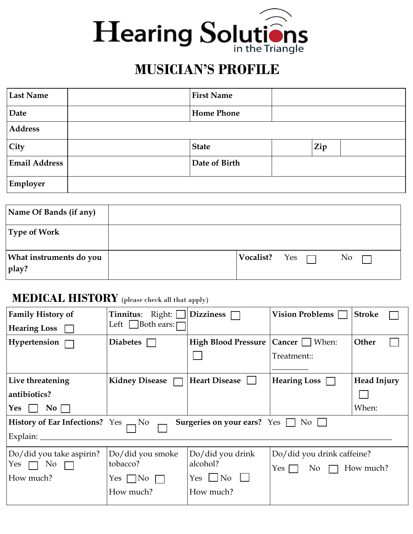

## **MUSICIAN'S PROFILE**

| <b>Last Name</b>     | <b>First Name</b> |     |  |
|----------------------|-------------------|-----|--|
| Date                 | <b>Home Phone</b> |     |  |
| <b>Address</b>       |                   |     |  |
| City                 | <b>State</b>      | Zip |  |
| <b>Email Address</b> | Date of Birth     |     |  |
| Employer             |                   |     |  |

| Name Of Bands (if any)           |               |  |                |  |
|----------------------------------|---------------|--|----------------|--|
| Type of Work                     |               |  |                |  |
| What instruments do you<br>play? | Vocalist? Yes |  | N <sub>0</sub> |  |

## **MEDICAL HISTORY** (please check all that apply)

| <b>Family History of</b>                                                                                      | <b>Tinnitus:</b> Right: [<br>Left Both ears: | Dizziness $\Box$     | <b>Vision Problems</b>               | <b>Stroke</b>      |  |
|---------------------------------------------------------------------------------------------------------------|----------------------------------------------|----------------------|--------------------------------------|--------------------|--|
| Hearing Loss $\Box$                                                                                           |                                              |                      |                                      |                    |  |
| Hypertension $\Box$                                                                                           | <b>Diabetes</b>                              |                      | High Blood Pressure   Cancer   When: | Other              |  |
|                                                                                                               |                                              |                      | Treatment::                          |                    |  |
|                                                                                                               |                                              |                      |                                      |                    |  |
| Live threatening                                                                                              | <b>Kidney Disease</b>                        | <b>Heart Disease</b> | Hearing Loss $\Box$                  | <b>Head Injury</b> |  |
| antibiotics?                                                                                                  |                                              |                      |                                      |                    |  |
| $Yes \vert$<br>$\overline{N_0}$ $\Box$                                                                        |                                              |                      |                                      | When:              |  |
| <b>History of Ear Infections?</b> Yes $\rightarrow$ No<br><b>Surgeries on your ears?</b> Yes $\Box$ No $\Box$ |                                              |                      |                                      |                    |  |
| Explain: $\overline{\phantom{a}}$                                                                             |                                              |                      |                                      |                    |  |
| Do/did you take aspirin?                                                                                      | Do/did you smoke                             | Do/did you drink     | Do/did you drink caffeine?           |                    |  |
| Yes $\Box$ No $\Box$                                                                                          | tobacco?                                     | alcohol?             | No $\Box$ How much?<br>Yes $\Box$    |                    |  |
| How much?<br>Yes $\Box$ No $\Box$                                                                             |                                              | $Yes \Box No \Box$   |                                      |                    |  |
|                                                                                                               | How much?                                    | How much?            |                                      |                    |  |
|                                                                                                               |                                              |                      |                                      |                    |  |